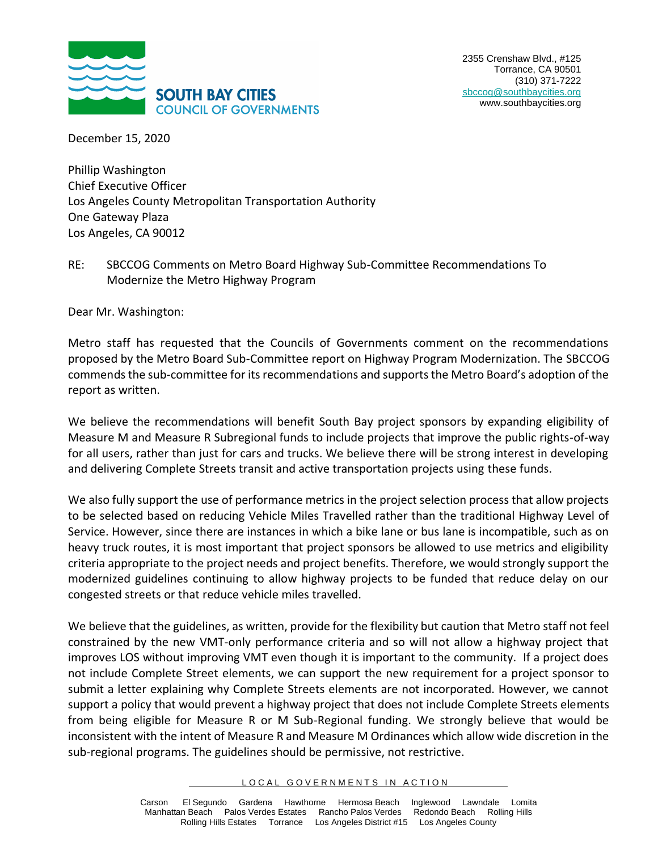

December 15, 2020

Phillip Washington Chief Executive Officer Los Angeles County Metropolitan Transportation Authority One Gateway Plaza Los Angeles, CA 90012

RE: SBCCOG Comments on Metro Board Highway Sub-Committee Recommendations To Modernize the Metro Highway Program

Dear Mr. Washington:

Metro staff has requested that the Councils of Governments comment on the recommendations proposed by the Metro Board Sub-Committee report on Highway Program Modernization. The SBCCOG commends the sub-committee for its recommendations and supports the Metro Board's adoption of the report as written.

We believe the recommendations will benefit South Bay project sponsors by expanding eligibility of Measure M and Measure R Subregional funds to include projects that improve the public rights-of-way for all users, rather than just for cars and trucks. We believe there will be strong interest in developing and delivering Complete Streets transit and active transportation projects using these funds.

We also fully support the use of performance metrics in the project selection process that allow projects to be selected based on reducing Vehicle Miles Travelled rather than the traditional Highway Level of Service. However, since there are instances in which a bike lane or bus lane is incompatible, such as on heavy truck routes, it is most important that project sponsors be allowed to use metrics and eligibility criteria appropriate to the project needs and project benefits. Therefore, we would strongly support the modernized guidelines continuing to allow highway projects to be funded that reduce delay on our congested streets or that reduce vehicle miles travelled.

We believe that the guidelines, as written, provide for the flexibility but caution that Metro staff not feel constrained by the new VMT-only performance criteria and so will not allow a highway project that improves LOS without improving VMT even though it is important to the community. If a project does not include Complete Street elements, we can support the new requirement for a project sponsor to submit a letter explaining why Complete Streets elements are not incorporated. However, we cannot support a policy that would prevent a highway project that does not include Complete Streets elements from being eligible for Measure R or M Sub-Regional funding. We strongly believe that would be inconsistent with the intent of Measure R and Measure M Ordinances which allow wide discretion in the sub-regional programs. The guidelines should be permissive, not restrictive.

LOCAL GOVERNMENTS IN ACTION